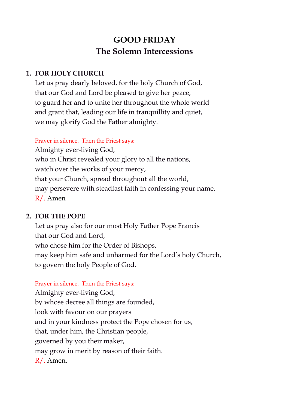# **GOOD FRIDAY The Solemn Intercessions**

# **1. FOR HOLY CHURCH**

Let us pray dearly beloved, for the holy Church of God, that our God and Lord be pleased to give her peace, to guard her and to unite her throughout the whole world and grant that, leading our life in tranquillity and quiet, we may glorify God the Father almighty.

#### Prayer in silence. Then the Priest says:

Almighty ever-living God, who in Christ revealed your glory to all the nations, watch over the works of your mercy, that your Church, spread throughout all the world, may persevere with steadfast faith in confessing your name. R/. Amen

# **2. FOR THE POPE**

Let us pray also for our most Holy Father Pope Francis that our God and Lord, who chose him for the Order of Bishops, may keep him safe and unharmed for the Lord's holy Church, to govern the holy People of God.

# Prayer in silence. Then the Priest says:

Almighty ever-living God, by whose decree all things are founded, look with favour on our prayers and in your kindness protect the Pope chosen for us, that, under him, the Christian people, governed by you their maker, may grow in merit by reason of their faith. R/. Amen.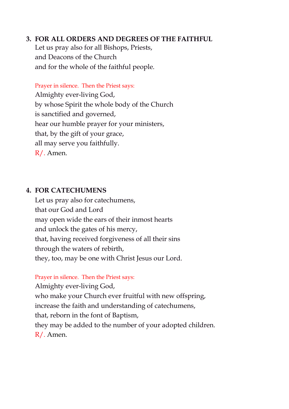#### **3. FOR ALL ORDERS AND DEGREES OF THE FAITHFUL**

Let us pray also for all Bishops, Priests, and Deacons of the Church and for the whole of the faithful people.

Prayer in silence. Then the Priest says: Almighty ever-living God, by whose Spirit the whole body of the Church is sanctified and governed, hear our humble prayer for your ministers, that, by the gift of your grace, all may serve you faithfully. R/. Amen.

#### **4. FOR CATECHUMENS**

Let us pray also for catechumens, that our God and Lord may open wide the ears of their inmost hearts and unlock the gates of his mercy, that, having received forgiveness of all their sins through the waters of rebirth, they, too, may be one with Christ Jesus our Lord.

#### Prayer in silence. Then the Priest says:

Almighty ever-living God, who make your Church ever fruitful with new offspring, increase the faith and understanding of catechumens, that, reborn in the font of Baptism, they may be added to the number of your adopted children. R/. Amen.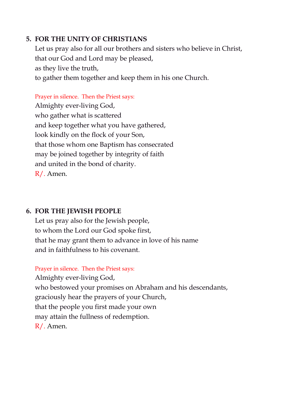### **5. FOR THE UNITY OF CHRISTIANS**

Let us pray also for all our brothers and sisters who believe in Christ, that our God and Lord may be pleased, as they live the truth, to gather them together and keep them in his one Church.

Prayer in silence. Then the Priest says: Almighty ever-living God, who gather what is scattered and keep together what you have gathered, look kindly on the flock of your Son, that those whom one Baptism has consecrated may be joined together by integrity of faith and united in the bond of charity. R/. Amen.

# **6. FOR THE JEWISH PEOPLE**

Let us pray also for the Jewish people, to whom the Lord our God spoke first, that he may grant them to advance in love of his name and in faithfulness to his covenant.

Prayer in silence. Then the Priest says:

Almighty ever-living God, who bestowed your promises on Abraham and his descendants, graciously hear the prayers of your Church, that the people you first made your own may attain the fullness of redemption. R/. Amen.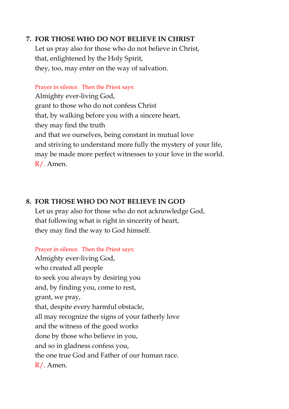# **7. FOR THOSE WHO DO NOT BELIEVE IN CHRIST**

Let us pray also for those who do not believe in Christ, that, enlightened by the Holy Spirit, they, too, may enter on the way of salvation.

Prayer in silence. Then the Priest says: Almighty ever-living God, grant to those who do not confess Christ that, by walking before you with a sincere heart, they may find the truth and that we ourselves, being constant in mutual love and striving to understand more fully the mystery of your life, may be made more perfect witnesses to your love in the world. R/. Amen.

#### **8. FOR THOSE WHO DO NOT BELIEVE IN GOD**

Let us pray also for those who do not acknowledge God, that following what is right in sincerity of heart, they may find the way to God himself.

Prayer in silence. Then the Priest says:

Almighty ever-living God, who created all people to seek you always by desiring you and, by finding you, come to rest, grant, we pray, that, despite every harmful obstacle, all may recognize the signs of your fatherly love and the witness of the good works done by those who believe in you, and so in gladness confess you, the one true God and Father of our human race. R/. Amen.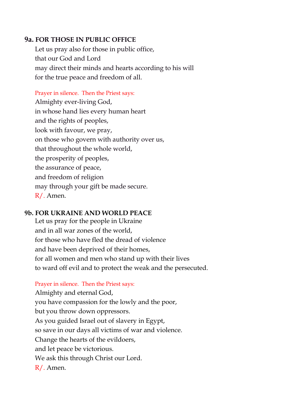#### **9a. FOR THOSE IN PUBLIC OFFICE**

Let us pray also for those in public office, that our God and Lord may direct their minds and hearts according to his will for the true peace and freedom of all.

#### Prayer in silence. Then the Priest says:

Almighty ever-living God, in whose hand lies every human heart and the rights of peoples, look with favour, we pray, on those who govern with authority over us, that throughout the whole world, the prosperity of peoples, the assurance of peace, and freedom of religion may through your gift be made secure. R/. Amen.

#### **9b. FOR UKRAINE AND WORLD PEACE**

Let us pray for the people in Ukraine and in all war zones of the world, for those who have fled the dread of violence and have been deprived of their homes, for all women and men who stand up with their lives to ward off evil and to protect the weak and the persecuted.

#### Prayer in silence. Then the Priest says:

Almighty and eternal God, you have compassion for the lowly and the poor, but you throw down oppressors. As you guided Israel out of slavery in Egypt, so save in our days all victims of war and violence. Change the hearts of the evildoers, and let peace be victorious. We ask this through Christ our Lord. R/. Amen.